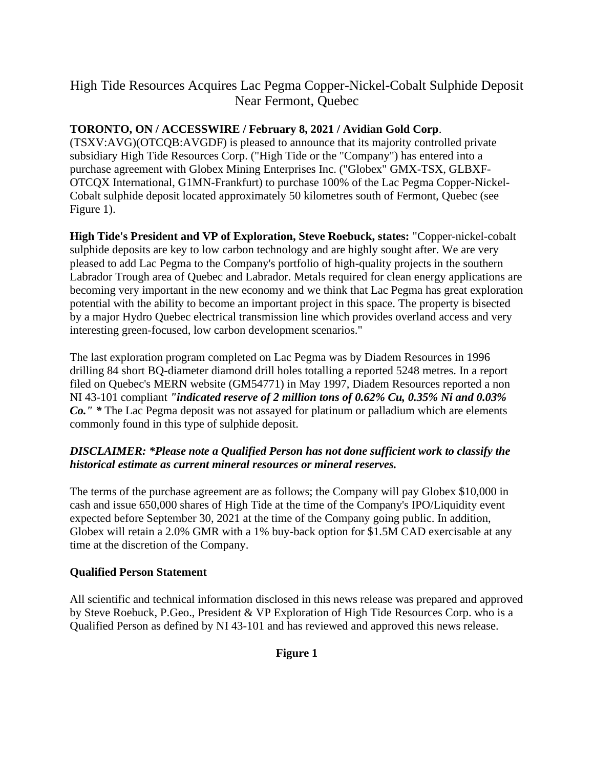# High Tide Resources Acquires Lac Pegma Copper-Nickel-Cobalt Sulphide Deposit Near Fermont, Quebec

## **TORONTO, ON / ACCESSWIRE / February 8, 2021 / Avidian Gold Corp**.

(TSXV:AVG)(OTCQB:AVGDF) is pleased to announce that its majority controlled private subsidiary High Tide Resources Corp. ("High Tide or the "Company") has entered into a purchase agreement with Globex Mining Enterprises Inc. ("Globex" GMX-TSX, GLBXF-OTCQX International, G1MN-Frankfurt) to purchase 100% of the Lac Pegma Copper-Nickel-Cobalt sulphide deposit located approximately 50 kilometres south of Fermont, Quebec (see Figure 1).

**High Tide's President and VP of Exploration, Steve Roebuck, states:** "Copper-nickel-cobalt sulphide deposits are key to low carbon technology and are highly sought after. We are very pleased to add Lac Pegma to the Company's portfolio of high-quality projects in the southern Labrador Trough area of Quebec and Labrador. Metals required for clean energy applications are becoming very important in the new economy and we think that Lac Pegma has great exploration potential with the ability to become an important project in this space. The property is bisected by a major Hydro Quebec electrical transmission line which provides overland access and very interesting green-focused, low carbon development scenarios."

The last exploration program completed on Lac Pegma was by Diadem Resources in 1996 drilling 84 short BQ-diameter diamond drill holes totalling a reported 5248 metres. In a report filed on Quebec's MERN website (GM54771) in May 1997, Diadem Resources reported a non NI 43-101 compliant *"indicated reserve of 2 million tons of 0.62% Cu, 0.35% Ni and 0.03% Co." \** The Lac Pegma deposit was not assayed for platinum or palladium which are elements commonly found in this type of sulphide deposit.

### *DISCLAIMER: \*Please note a Qualified Person has not done sufficient work to classify the historical estimate as current mineral resources or mineral reserves.*

The terms of the purchase agreement are as follows; the Company will pay Globex \$10,000 in cash and issue 650,000 shares of High Tide at the time of the Company's IPO/Liquidity event expected before September 30, 2021 at the time of the Company going public. In addition, Globex will retain a 2.0% GMR with a 1% buy-back option for \$1.5M CAD exercisable at any time at the discretion of the Company.

#### **Qualified Person Statement**

All scientific and technical information disclosed in this news release was prepared and approved by Steve Roebuck, P.Geo., President & VP Exploration of High Tide Resources Corp. who is a Qualified Person as defined by NI 43-101 and has reviewed and approved this news release.

**Figure 1**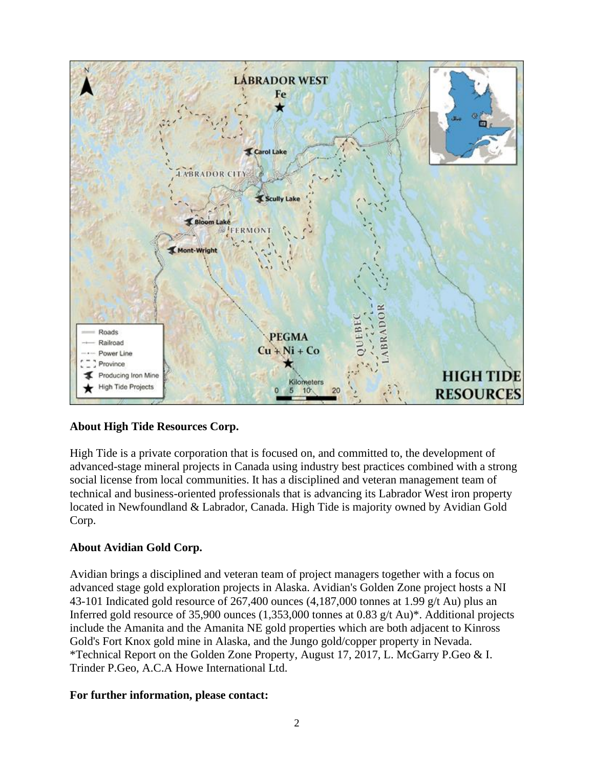

#### **About High Tide Resources Corp.**

High Tide is a private corporation that is focused on, and committed to, the development of advanced-stage mineral projects in Canada using industry best practices combined with a strong social license from local communities. It has a disciplined and veteran management team of technical and business-oriented professionals that is advancing its Labrador West iron property located in Newfoundland & Labrador, Canada. High Tide is majority owned by Avidian Gold Corp.

#### **About Avidian Gold Corp.**

Avidian brings a disciplined and veteran team of project managers together with a focus on advanced stage gold exploration projects in Alaska. Avidian's Golden Zone project hosts a NI 43-101 Indicated gold resource of 267,400 ounces (4,187,000 tonnes at 1.99 g/t Au) plus an Inferred gold resource of 35,900 ounces (1,353,000 tonnes at 0.83 g/t Au)\*. Additional projects include the Amanita and the Amanita NE gold properties which are both adjacent to Kinross Gold's Fort Knox gold mine in Alaska, and the Jungo gold/copper property in Nevada. \*Technical Report on the Golden Zone Property, August 17, 2017, L. McGarry P.Geo & I. Trinder P.Geo, A.C.A Howe International Ltd.

#### **For further information, please contact:**